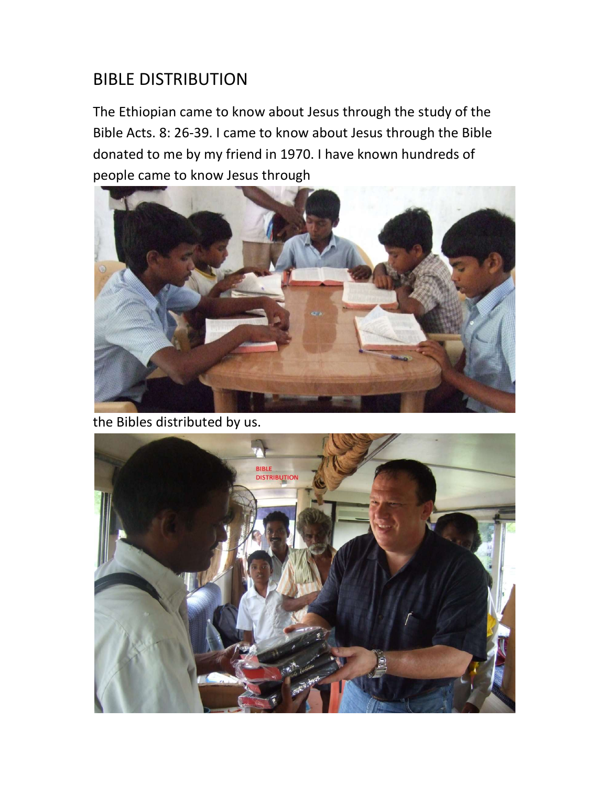## BIBLE DISTRIBUTION

The Ethiopian came to know about Jesus through the study of the Bible Acts. 8: 26-39. I came to know about Jesus through the Bible donated to me by my friend in 1970. I have known hundreds of people came to know Jesus through



the Bibles distributed by us.

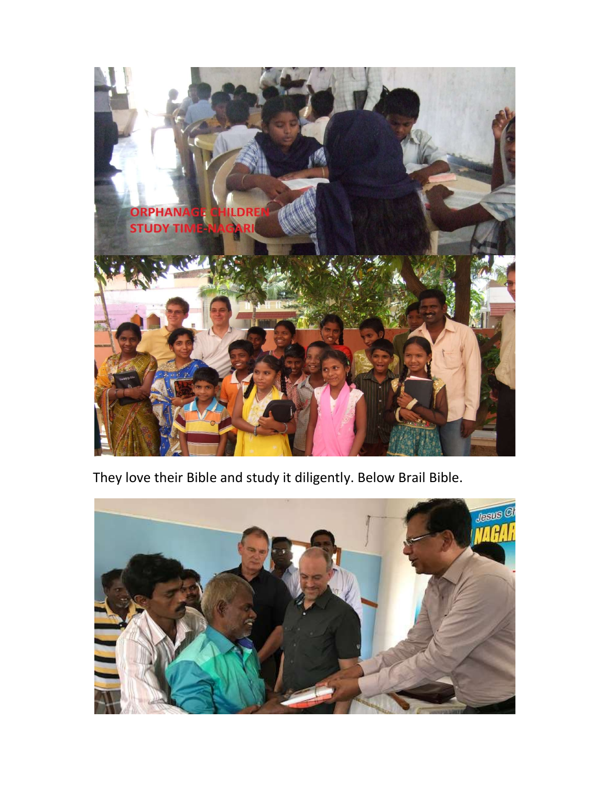

They love their Bible and study it diligently. Below Brail Bible.

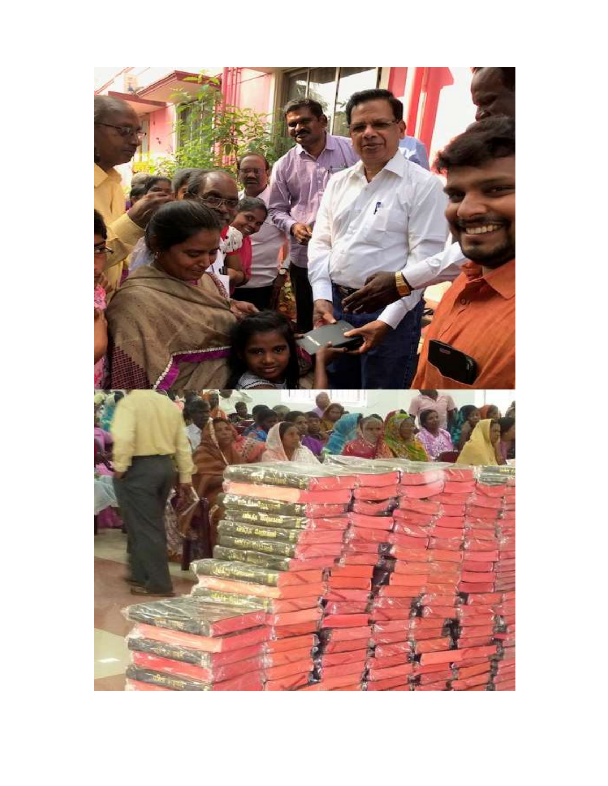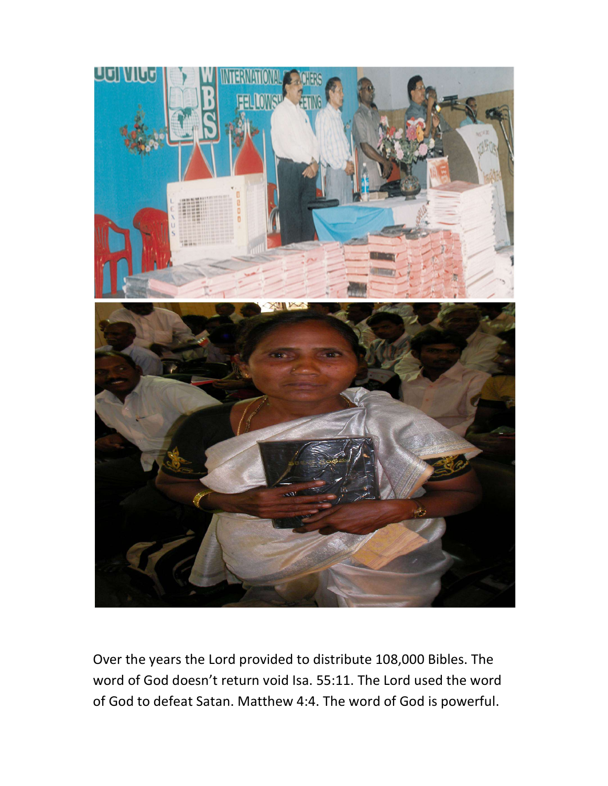

Over the years the Lord provided to distribute 108,000 Bibles. The word of God doesn't return void Isa. 55:11. The Lord used the word of God to defeat Satan. Matthew 4:4. The word of God is powerful.